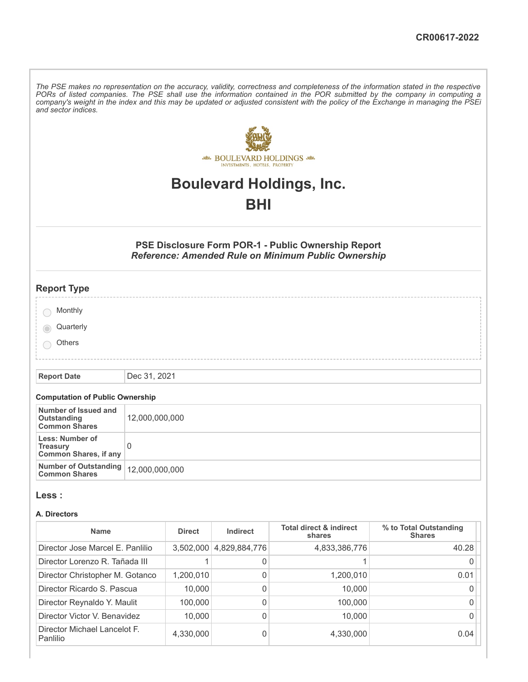The PSE makes no representation on the accuracy, validity, correctness and completeness of the information stated in the respective PORs of listed companies. The PSE shall use the information contained in the POR submitted by the company in computing a company's weight in the index and this may be updated or adjusted consistent with the policy of the Exchange in managing the PSEi *and sector indices.*



# **Boulevard Holdings, Inc.**

## **BHI**

## **PSE Disclosure Form POR-1 - Public Ownership Report** *Reference: Amended Rule on Minimum Public Ownership*

| <b>Report Type</b>                    |  |  |
|---------------------------------------|--|--|
|                                       |  |  |
| Monthly                               |  |  |
| Quarterly<br>$\overline{\phantom{a}}$ |  |  |
| Others                                |  |  |
|                                       |  |  |

**Report Date** Dec 31, 2021

## **Computation of Public Ownership**

| Number of Issued and<br>Outstanding<br><b>Common Shares</b>        | 12,000,000,000 |
|--------------------------------------------------------------------|----------------|
| Less: Number of<br><b>Treasury</b><br><b>Common Shares, if any</b> |                |
| Number of Outstanding   12,000,000,000<br><b>Common Shares</b>     |                |

#### **Less :**

#### **A. Directors**

| <b>Name</b>                              | <b>Direct</b> | Indirect      | <b>Total direct &amp; indirect</b><br>shares | % to Total Outstanding<br><b>Shares</b> |
|------------------------------------------|---------------|---------------|----------------------------------------------|-----------------------------------------|
| Director Jose Marcel E. Panlilio         | 3,502,000     | 4,829,884,776 | 4,833,386,776                                | 40.28                                   |
| Director Lorenzo R. Tañada III           |               | 0             |                                              |                                         |
| Director Christopher M. Gotanco          | 1,200,010     | 0             | 1,200,010                                    | 0.01                                    |
| Director Ricardo S. Pascua               | 10,000        | 0             | 10,000                                       |                                         |
| Director Reynaldo Y. Maulit              | 100.000       | 0             | 100,000                                      |                                         |
| Director Victor V. Benavidez             | 10.000        | 0             | 10,000                                       |                                         |
| Director Michael Lancelot F.<br>Panlilio | 4,330,000     | 0             | 4,330,000                                    | 0.04                                    |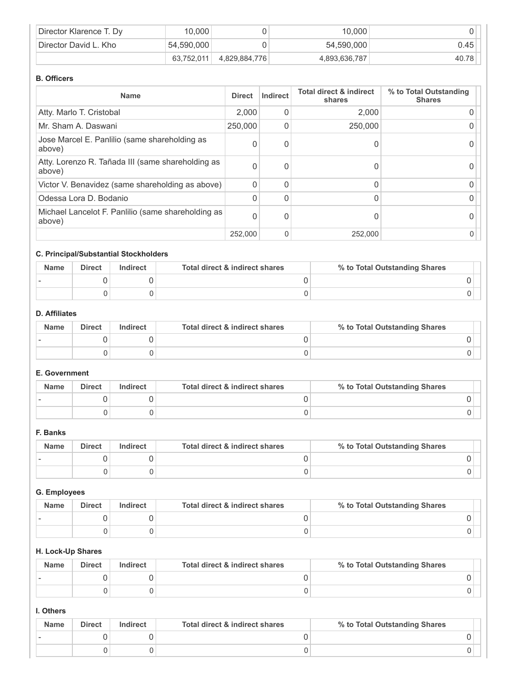| Director Klarence T. Dy | 10.000     |               | 10.000        |       |
|-------------------------|------------|---------------|---------------|-------|
| Director David L. Kho   | 54,590,000 |               | 54,590,000    | 0.45  |
|                         | 63.752.011 | 4,829,884,776 | 4,893,636,787 | 40.78 |

#### **B. Officers**

| <b>Name</b>                                                  | <b>Direct</b> | Indirect | <b>Total direct &amp; indirect</b><br>shares | % to Total Outstanding<br><b>Shares</b> |
|--------------------------------------------------------------|---------------|----------|----------------------------------------------|-----------------------------------------|
| Atty. Marlo T. Cristobal                                     | 2,000         | 0        | 2,000                                        |                                         |
| Mr. Sham A. Daswani                                          | 250,000       | 0        | 250,000                                      |                                         |
| Jose Marcel E. Panlilio (same shareholding as<br>above)      | $\Omega$      | 0        |                                              |                                         |
| Atty. Lorenzo R. Tañada III (same shareholding as<br>above)  | $\Omega$      | 0        |                                              |                                         |
| Victor V. Benavidez (same shareholding as above)             | $\Omega$      | 0        |                                              |                                         |
| Odessa Lora D. Bodanio                                       | $\Omega$      | 0        |                                              |                                         |
| Michael Lancelot F. Panlilio (same shareholding as<br>above) | $\Omega$      | 0        |                                              |                                         |
|                                                              | 252,000       | 0        | 252,000                                      |                                         |

## **C. Principal/Substantial Stockholders**

| <b>Name</b> | <b>Direct</b> | Indirect | Total direct & indirect shares | % to Total Outstanding Shares |
|-------------|---------------|----------|--------------------------------|-------------------------------|
|             |               |          |                                |                               |
|             |               |          |                                |                               |

## **D. Affiliates**

| <b>Name</b> | <b>Direct</b> | Indirect | Total direct & indirect shares | % to Total Outstanding Shares |
|-------------|---------------|----------|--------------------------------|-------------------------------|
|             |               |          |                                |                               |
|             |               |          |                                |                               |

## **E. Government**

| <b>Name</b> | <b>Direct</b> | Indirect | Total direct & indirect shares | % to Total Outstanding Shares |
|-------------|---------------|----------|--------------------------------|-------------------------------|
|             |               |          |                                |                               |
|             |               |          |                                |                               |

#### **F. Banks**

| <b>Name</b> | <b>Direct</b> | Indirect | Total direct & indirect shares | % to Total Outstanding Shares |
|-------------|---------------|----------|--------------------------------|-------------------------------|
|             |               |          |                                |                               |
|             |               |          |                                |                               |

## **G. Employees**

| <b>Name</b> | <b>Direct</b> | <b>Indirect</b> | Total direct & indirect shares | % to Total Outstanding Shares |
|-------------|---------------|-----------------|--------------------------------|-------------------------------|
|             |               |                 |                                |                               |
|             |               |                 |                                |                               |

#### **H. Lock-Up Shares**

| <b>Name</b> | <b>Direct</b> | Indirect | Total direct & indirect shares | % to Total Outstanding Shares |
|-------------|---------------|----------|--------------------------------|-------------------------------|
|             |               |          |                                |                               |
|             |               |          |                                |                               |

### **I. Others**

| <b>Name</b> | <b>Direct</b> | Indirect | Total direct & indirect shares | % to Total Outstanding Shares |
|-------------|---------------|----------|--------------------------------|-------------------------------|
|             |               |          |                                |                               |
|             |               |          |                                |                               |